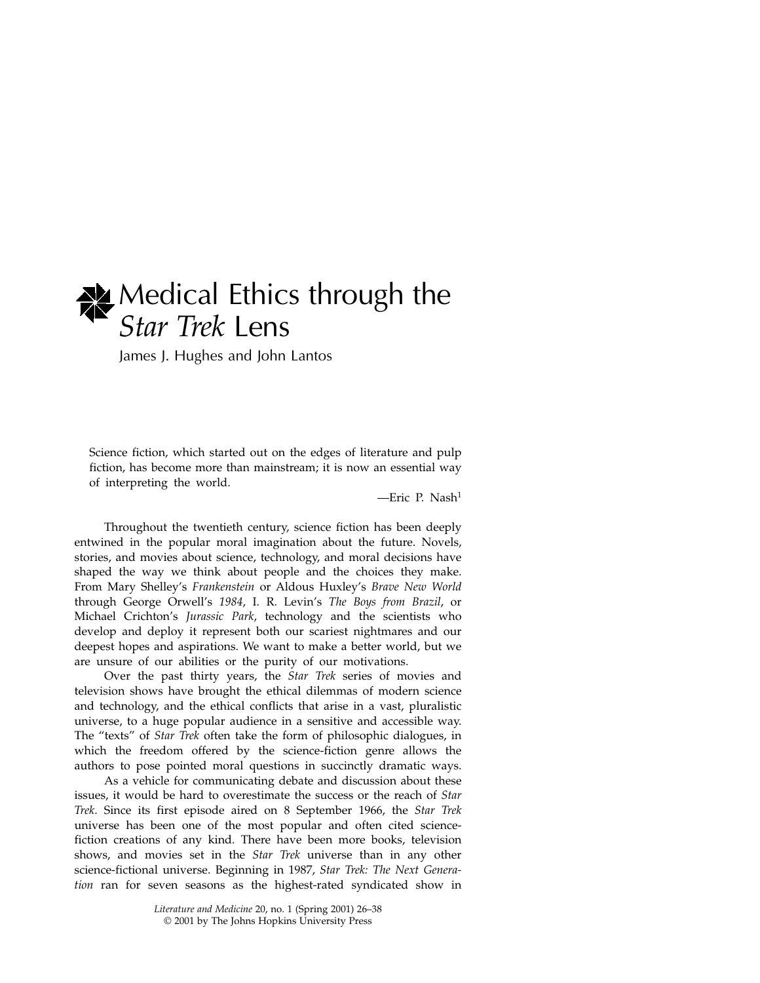# Medical Ethics through the *Star Trek* Lens

James J. Hughes and John Lantos

Science fiction, which started out on the edges of literature and pulp fiction, has become more than mainstream; it is now an essential way of interpreting the world.

—Eric P. Nash1

Throughout the twentieth century, science fiction has been deeply entwined in the popular moral imagination about the future. Novels, stories, and movies about science, technology, and moral decisions have shaped the way we think about people and the choices they make. From Mary Shelley's *Frankenstein* or Aldous Huxley's *Brave New World* through George Orwell's *1984*, I. R. Levin's *The Boys from Brazil*, or Michael Crichton's *Jurassic Park*, technology and the scientists who develop and deploy it represent both our scariest nightmares and our deepest hopes and aspirations. We want to make a better world, but we are unsure of our abilities or the purity of our motivations.

Over the past thirty years, the *Star Trek* series of movies and television shows have brought the ethical dilemmas of modern science and technology, and the ethical conflicts that arise in a vast, pluralistic universe, to a huge popular audience in a sensitive and accessible way. The "texts" of *Star Trek* often take the form of philosophic dialogues, in which the freedom offered by the science-fiction genre allows the authors to pose pointed moral questions in succinctly dramatic ways.

As a vehicle for communicating debate and discussion about these issues, it would be hard to overestimate the success or the reach of *Star Trek*. Since its first episode aired on 8 September 1966, the *Star Trek* universe has been one of the most popular and often cited sciencefiction creations of any kind. There have been more books, television shows, and movies set in the *Star Trek* universe than in any other science-fictional universe. Beginning in 1987, *Star Trek: The Next Generation* ran for seven seasons as the highest-rated syndicated show in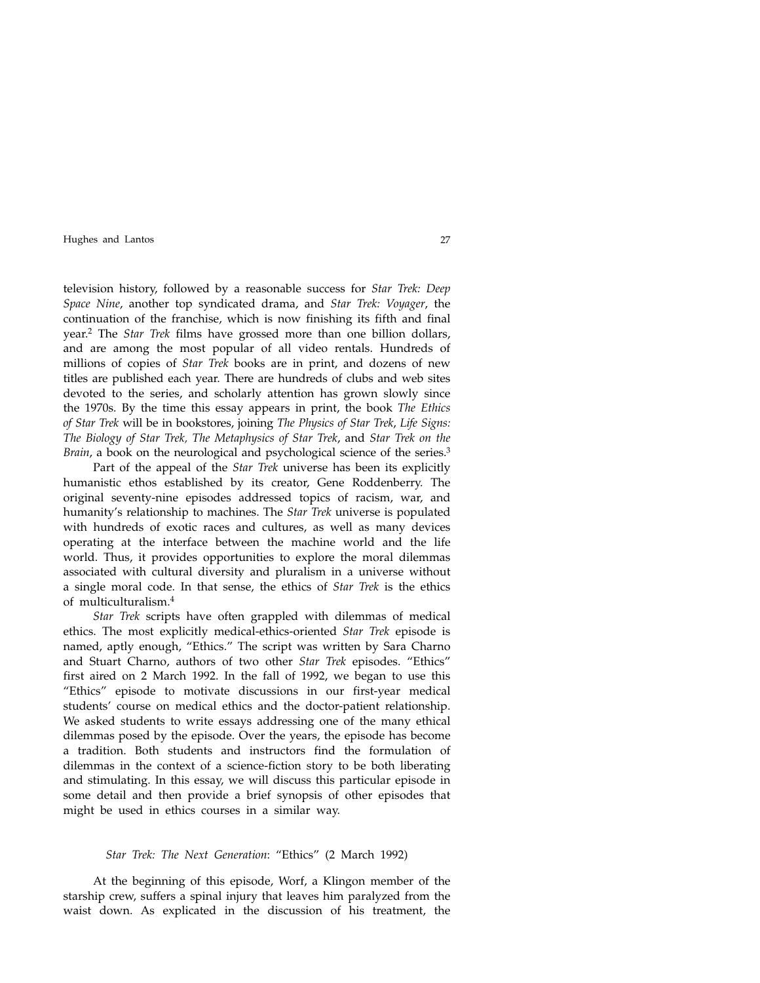television history, followed by a reasonable success for *Star Trek: Deep Space Nine*, another top syndicated drama, and *Star Trek: Voyager*, the continuation of the franchise, which is now finishing its fifth and final year.2 The *Star Trek* films have grossed more than one billion dollars, and are among the most popular of all video rentals. Hundreds of millions of copies of *Star Trek* books are in print, and dozens of new titles are published each year. There are hundreds of clubs and web sites devoted to the series, and scholarly attention has grown slowly since the 1970s. By the time this essay appears in print, the book *The Ethics of Star Trek* will be in bookstores, joining *The Physics of Star Trek*, *Life Signs: The Biology of Star Trek, The Metaphysics of Star Trek*, and *Star Trek on the Brain*, a book on the neurological and psychological science of the series.<sup>3</sup>

Part of the appeal of the *Star Trek* universe has been its explicitly humanistic ethos established by its creator, Gene Roddenberry. The original seventy-nine episodes addressed topics of racism, war, and humanity's relationship to machines. The *Star Trek* universe is populated with hundreds of exotic races and cultures, as well as many devices operating at the interface between the machine world and the life world. Thus, it provides opportunities to explore the moral dilemmas associated with cultural diversity and pluralism in a universe without a single moral code. In that sense, the ethics of *Star Trek* is the ethics of multiculturalism.4

*Star Trek* scripts have often grappled with dilemmas of medical ethics. The most explicitly medical-ethics-oriented *Star Trek* episode is named, aptly enough, "Ethics." The script was written by Sara Charno and Stuart Charno, authors of two other *Star Trek* episodes. "Ethics" first aired on 2 March 1992. In the fall of 1992, we began to use this "Ethics" episode to motivate discussions in our first-year medical students' course on medical ethics and the doctor-patient relationship. We asked students to write essays addressing one of the many ethical dilemmas posed by the episode. Over the years, the episode has become a tradition. Both students and instructors find the formulation of dilemmas in the context of a science-fiction story to be both liberating and stimulating. In this essay, we will discuss this particular episode in some detail and then provide a brief synopsis of other episodes that might be used in ethics courses in a similar way.

## *Star Trek: The Next Generation*: "Ethics" (2 March 1992)

At the beginning of this episode, Worf, a Klingon member of the starship crew, suffers a spinal injury that leaves him paralyzed from the waist down. As explicated in the discussion of his treatment, the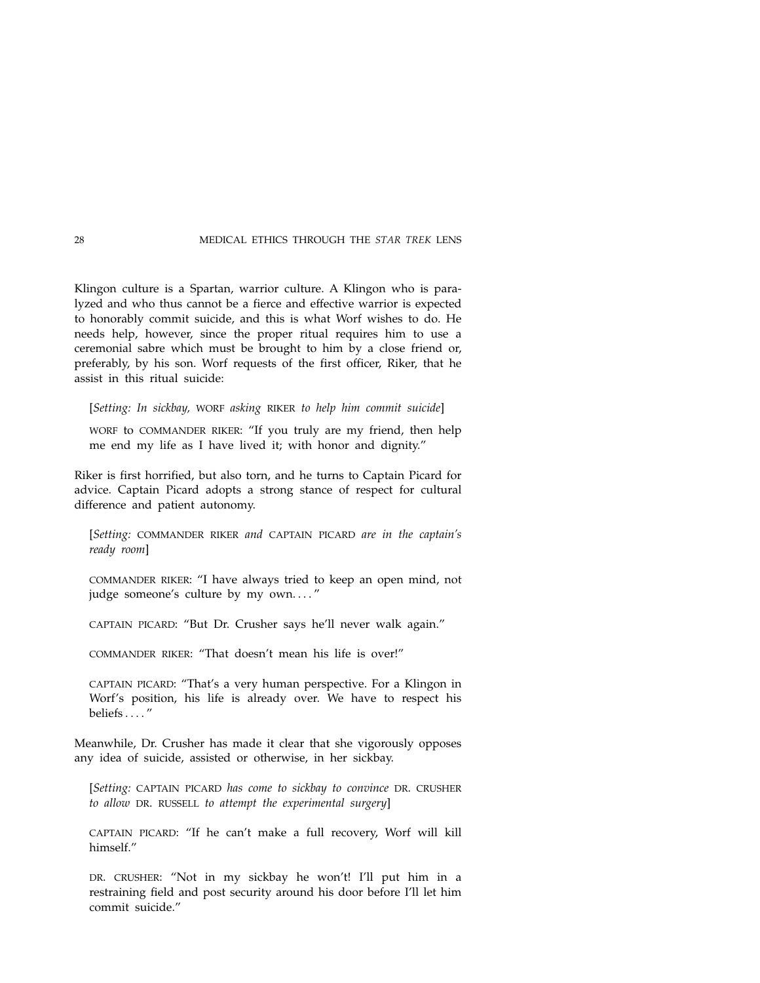Klingon culture is a Spartan, warrior culture. A Klingon who is paralyzed and who thus cannot be a fierce and effective warrior is expected to honorably commit suicide, and this is what Worf wishes to do. He needs help, however, since the proper ritual requires him to use a ceremonial sabre which must be brought to him by a close friend or, preferably, by his son. Worf requests of the first officer, Riker, that he assist in this ritual suicide:

[*Setting: In sickbay,* WORF *asking* RIKER *to help him commit suicide*]

WORF to COMMANDER RIKER: "If you truly are my friend, then help me end my life as I have lived it; with honor and dignity."

Riker is first horrified, but also torn, and he turns to Captain Picard for advice. Captain Picard adopts a strong stance of respect for cultural difference and patient autonomy.

[*Setting:* COMMANDER RIKER *and* CAPTAIN PICARD *are in the captain's ready room*]

COMMANDER RIKER: "I have always tried to keep an open mind, not judge someone's culture by my own.... "

CAPTAIN PICARD: "But Dr. Crusher says he'll never walk again."

COMMANDER RIKER: "That doesn't mean his life is over!"

CAPTAIN PICARD: "That's a very human perspective. For a Klingon in Worf's position, his life is already over. We have to respect his beliefs . . . . "

Meanwhile, Dr. Crusher has made it clear that she vigorously opposes any idea of suicide, assisted or otherwise, in her sickbay.

[*Setting:* CAPTAIN PICARD *has come to sickbay to convince* DR. CRUSHER *to allow* DR. RUSSELL *to attempt the experimental surgery*]

CAPTAIN PICARD: "If he can't make a full recovery, Worf will kill himself."

DR. CRUSHER: "Not in my sickbay he won't! I'll put him in a restraining field and post security around his door before I'll let him commit suicide."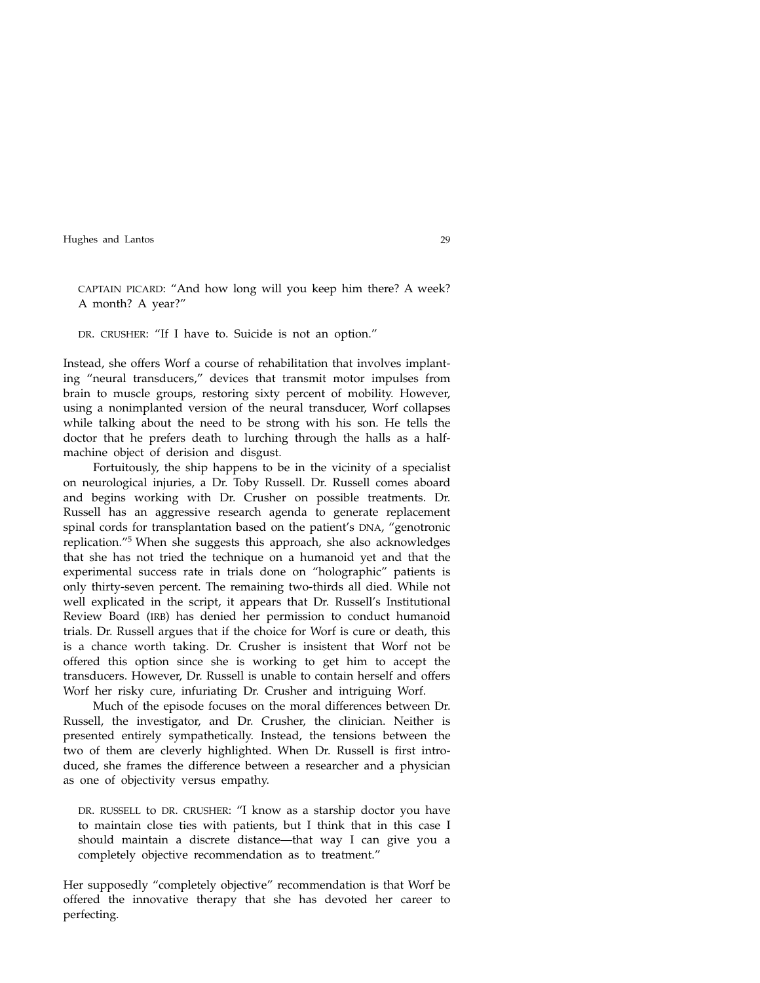CAPTAIN PICARD: "And how long will you keep him there? A week? A month? A year?"

DR. CRUSHER: "If I have to. Suicide is not an option."

Instead, she offers Worf a course of rehabilitation that involves implanting "neural transducers," devices that transmit motor impulses from brain to muscle groups, restoring sixty percent of mobility. However, using a nonimplanted version of the neural transducer, Worf collapses while talking about the need to be strong with his son. He tells the doctor that he prefers death to lurching through the halls as a halfmachine object of derision and disgust.

Fortuitously, the ship happens to be in the vicinity of a specialist on neurological injuries, a Dr. Toby Russell. Dr. Russell comes aboard and begins working with Dr. Crusher on possible treatments. Dr. Russell has an aggressive research agenda to generate replacement spinal cords for transplantation based on the patient's DNA, "genotronic replication."5 When she suggests this approach, she also acknowledges that she has not tried the technique on a humanoid yet and that the experimental success rate in trials done on "holographic" patients is only thirty-seven percent. The remaining two-thirds all died. While not well explicated in the script, it appears that Dr. Russell's Institutional Review Board (IRB) has denied her permission to conduct humanoid trials. Dr. Russell argues that if the choice for Worf is cure or death, this is a chance worth taking. Dr. Crusher is insistent that Worf not be offered this option since she is working to get him to accept the transducers. However, Dr. Russell is unable to contain herself and offers Worf her risky cure, infuriating Dr. Crusher and intriguing Worf.

Much of the episode focuses on the moral differences between Dr. Russell, the investigator, and Dr. Crusher, the clinician. Neither is presented entirely sympathetically. Instead, the tensions between the two of them are cleverly highlighted. When Dr. Russell is first introduced, she frames the difference between a researcher and a physician as one of objectivity versus empathy.

DR. RUSSELL to DR. CRUSHER: "I know as a starship doctor you have to maintain close ties with patients, but I think that in this case I should maintain a discrete distance—that way I can give you a completely objective recommendation as to treatment."

Her supposedly "completely objective" recommendation is that Worf be offered the innovative therapy that she has devoted her career to perfecting.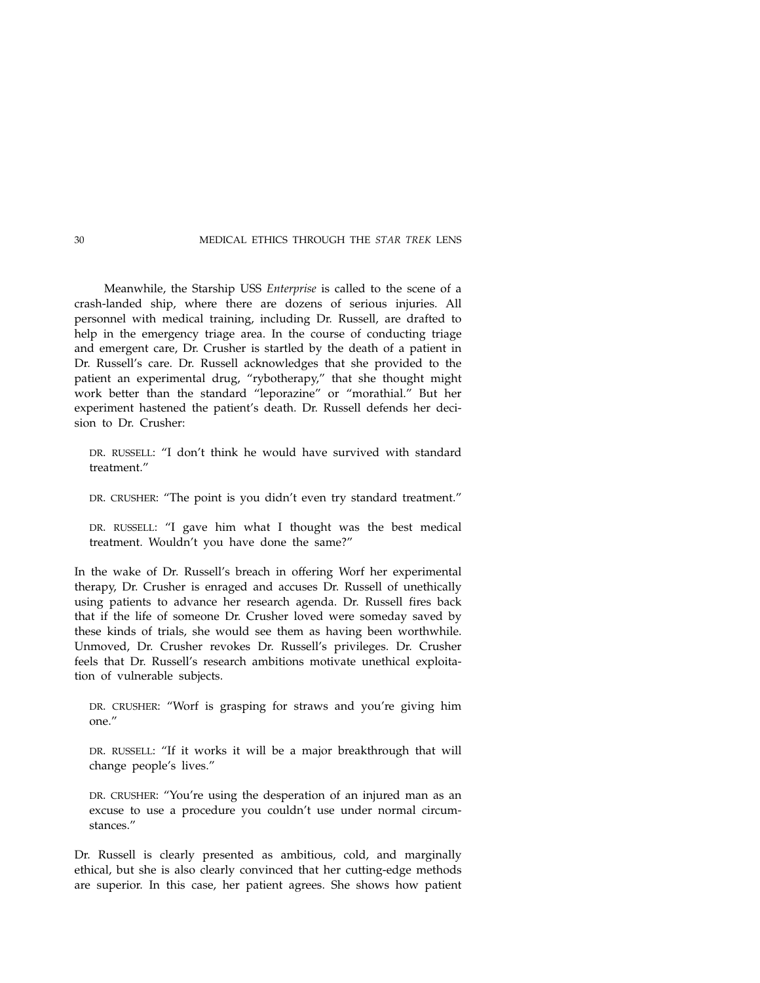Meanwhile, the Starship USS *Enterprise* is called to the scene of a crash-landed ship, where there are dozens of serious injuries. All personnel with medical training, including Dr. Russell, are drafted to help in the emergency triage area. In the course of conducting triage and emergent care, Dr. Crusher is startled by the death of a patient in Dr. Russell's care. Dr. Russell acknowledges that she provided to the patient an experimental drug, "rybotherapy," that she thought might work better than the standard "leporazine" or "morathial." But her experiment hastened the patient's death. Dr. Russell defends her decision to Dr. Crusher:

DR. RUSSELL: "I don't think he would have survived with standard treatment."

DR. CRUSHER: "The point is you didn't even try standard treatment."

DR. RUSSELL: "I gave him what I thought was the best medical treatment. Wouldn't you have done the same?"

In the wake of Dr. Russell's breach in offering Worf her experimental therapy, Dr. Crusher is enraged and accuses Dr. Russell of unethically using patients to advance her research agenda. Dr. Russell fires back that if the life of someone Dr. Crusher loved were someday saved by these kinds of trials, she would see them as having been worthwhile. Unmoved, Dr. Crusher revokes Dr. Russell's privileges. Dr. Crusher feels that Dr. Russell's research ambitions motivate unethical exploitation of vulnerable subjects.

DR. CRUSHER: "Worf is grasping for straws and you're giving him one."

DR. RUSSELL: "If it works it will be a major breakthrough that will change people's lives."

DR. CRUSHER: "You're using the desperation of an injured man as an excuse to use a procedure you couldn't use under normal circumstances."

Dr. Russell is clearly presented as ambitious, cold, and marginally ethical, but she is also clearly convinced that her cutting-edge methods are superior. In this case, her patient agrees. She shows how patient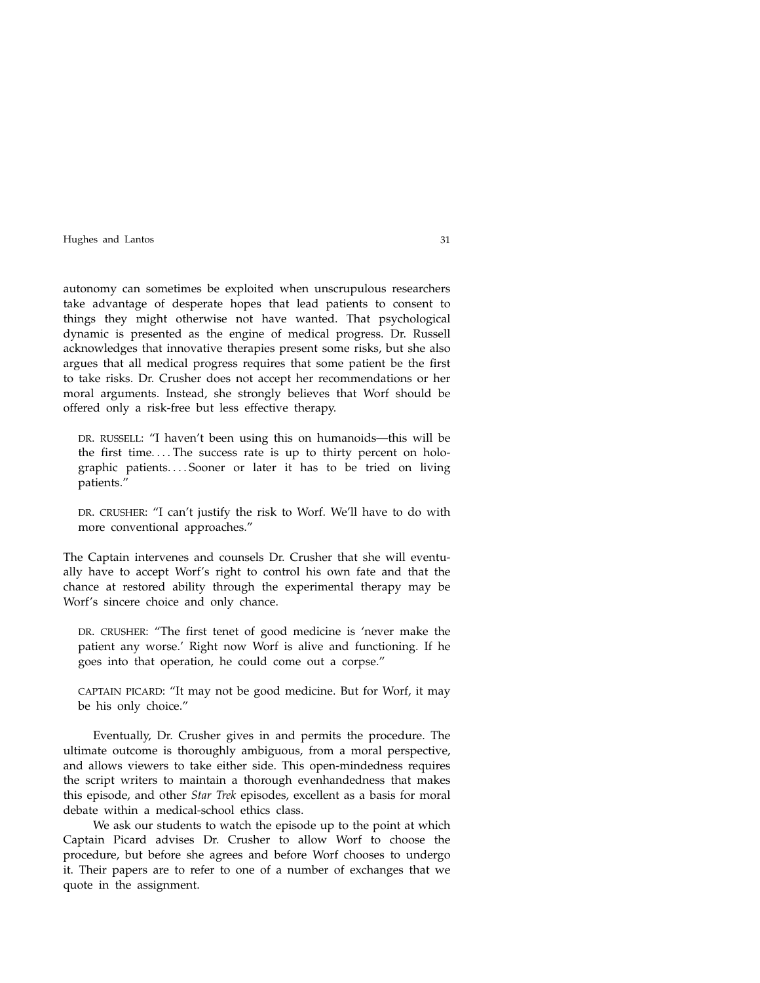autonomy can sometimes be exploited when unscrupulous researchers take advantage of desperate hopes that lead patients to consent to things they might otherwise not have wanted. That psychological dynamic is presented as the engine of medical progress. Dr. Russell acknowledges that innovative therapies present some risks, but she also argues that all medical progress requires that some patient be the first to take risks. Dr. Crusher does not accept her recommendations or her moral arguments. Instead, she strongly believes that Worf should be offered only a risk-free but less effective therapy.

DR. RUSSELL: "I haven't been using this on humanoids—this will be the first time.... The success rate is up to thirty percent on holographic patients.... Sooner or later it has to be tried on living patients."

DR. CRUSHER: "I can't justify the risk to Worf. We'll have to do with more conventional approaches."

The Captain intervenes and counsels Dr. Crusher that she will eventually have to accept Worf's right to control his own fate and that the chance at restored ability through the experimental therapy may be Worf's sincere choice and only chance.

DR. CRUSHER: "The first tenet of good medicine is 'never make the patient any worse.' Right now Worf is alive and functioning. If he goes into that operation, he could come out a corpse."

CAPTAIN PICARD: "It may not be good medicine. But for Worf, it may be his only choice."

Eventually, Dr. Crusher gives in and permits the procedure. The ultimate outcome is thoroughly ambiguous, from a moral perspective, and allows viewers to take either side. This open-mindedness requires the script writers to maintain a thorough evenhandedness that makes this episode, and other *Star Trek* episodes, excellent as a basis for moral debate within a medical-school ethics class.

We ask our students to watch the episode up to the point at which Captain Picard advises Dr. Crusher to allow Worf to choose the procedure, but before she agrees and before Worf chooses to undergo it. Their papers are to refer to one of a number of exchanges that we quote in the assignment.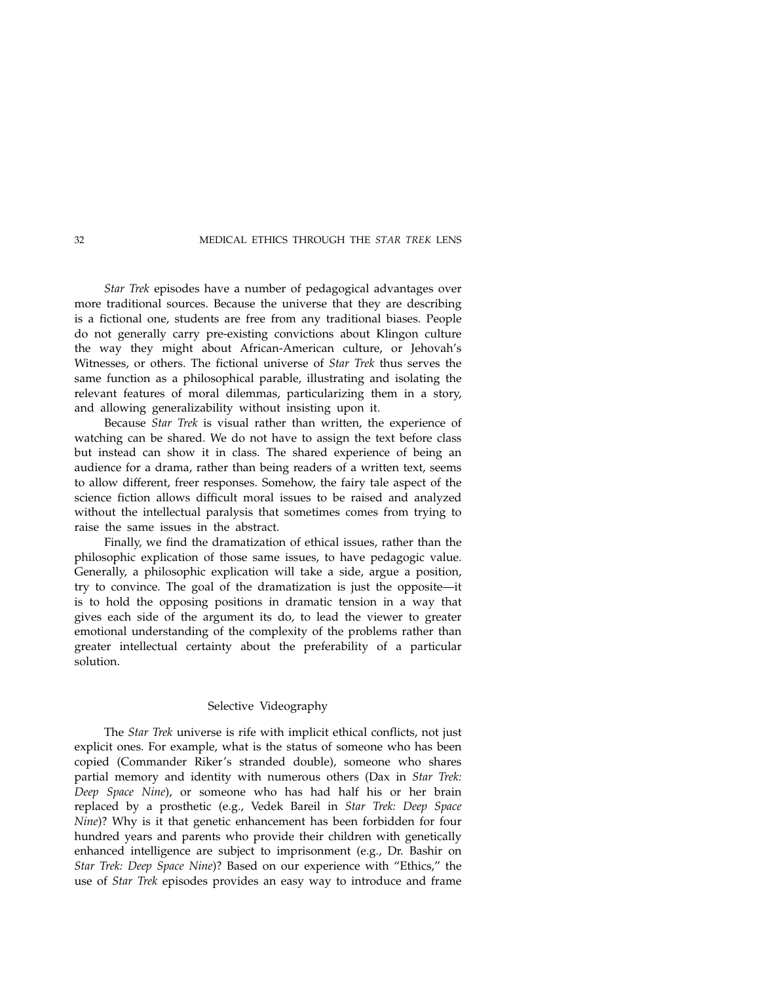*Star Trek* episodes have a number of pedagogical advantages over more traditional sources. Because the universe that they are describing is a fictional one, students are free from any traditional biases. People do not generally carry pre-existing convictions about Klingon culture the way they might about African-American culture, or Jehovah's Witnesses, or others. The fictional universe of *Star Trek* thus serves the same function as a philosophical parable, illustrating and isolating the relevant features of moral dilemmas, particularizing them in a story, and allowing generalizability without insisting upon it.

Because *Star Trek* is visual rather than written, the experience of watching can be shared. We do not have to assign the text before class but instead can show it in class. The shared experience of being an audience for a drama, rather than being readers of a written text, seems to allow different, freer responses. Somehow, the fairy tale aspect of the science fiction allows difficult moral issues to be raised and analyzed without the intellectual paralysis that sometimes comes from trying to raise the same issues in the abstract.

Finally, we find the dramatization of ethical issues, rather than the philosophic explication of those same issues, to have pedagogic value. Generally, a philosophic explication will take a side, argue a position, try to convince. The goal of the dramatization is just the opposite—it is to hold the opposing positions in dramatic tension in a way that gives each side of the argument its do, to lead the viewer to greater emotional understanding of the complexity of the problems rather than greater intellectual certainty about the preferability of a particular solution.

#### Selective Videography

The *Star Trek* universe is rife with implicit ethical conflicts, not just explicit ones. For example, what is the status of someone who has been copied (Commander Riker's stranded double), someone who shares partial memory and identity with numerous others (Dax in *Star Trek: Deep Space Nine*), or someone who has had half his or her brain replaced by a prosthetic (e.g., Vedek Bareil in *Star Trek: Deep Space Nine*)? Why is it that genetic enhancement has been forbidden for four hundred years and parents who provide their children with genetically enhanced intelligence are subject to imprisonment (e.g., Dr. Bashir on *Star Trek: Deep Space Nine*)? Based on our experience with "Ethics," the use of *Star Trek* episodes provides an easy way to introduce and frame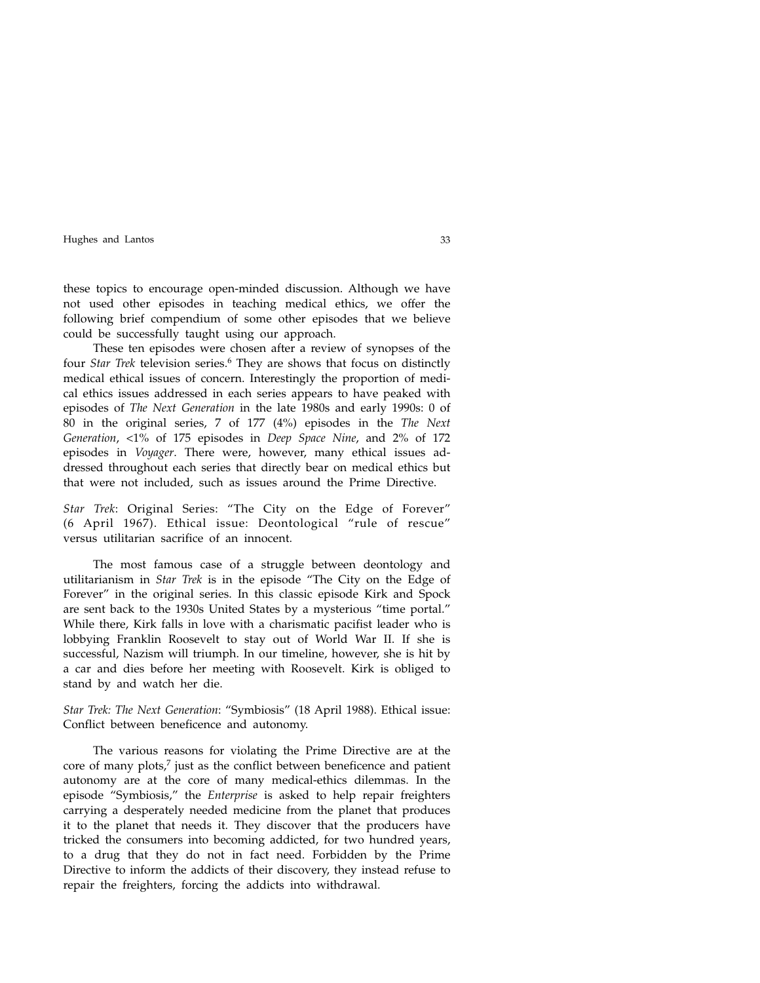these topics to encourage open-minded discussion. Although we have not used other episodes in teaching medical ethics, we offer the following brief compendium of some other episodes that we believe could be successfully taught using our approach.

These ten episodes were chosen after a review of synopses of the four *Star Trek* television series.6 They are shows that focus on distinctly medical ethical issues of concern. Interestingly the proportion of medical ethics issues addressed in each series appears to have peaked with episodes of *The Next Generation* in the late 1980s and early 1990s: 0 of 80 in the original series, 7 of 177 (4%) episodes in the *The Next Generation*, <1% of 175 episodes in *Deep Space Nine*, and 2% of 172 episodes in *Voyager*. There were, however, many ethical issues addressed throughout each series that directly bear on medical ethics but that were not included, such as issues around the Prime Directive.

*Star Trek*: Original Series: "The City on the Edge of Forever" (6 April 1967). Ethical issue: Deontological "rule of rescue" versus utilitarian sacrifice of an innocent.

The most famous case of a struggle between deontology and utilitarianism in *Star Trek* is in the episode "The City on the Edge of Forever" in the original series. In this classic episode Kirk and Spock are sent back to the 1930s United States by a mysterious "time portal." While there, Kirk falls in love with a charismatic pacifist leader who is lobbying Franklin Roosevelt to stay out of World War II. If she is successful, Nazism will triumph. In our timeline, however, she is hit by a car and dies before her meeting with Roosevelt. Kirk is obliged to stand by and watch her die.

*Star Trek: The Next Generation*: "Symbiosis" (18 April 1988). Ethical issue: Conflict between beneficence and autonomy.

The various reasons for violating the Prime Directive are at the core of many plots,<sup>7</sup> just as the conflict between beneficence and patient autonomy are at the core of many medical-ethics dilemmas. In the episode "Symbiosis," the *Enterprise* is asked to help repair freighters carrying a desperately needed medicine from the planet that produces it to the planet that needs it. They discover that the producers have tricked the consumers into becoming addicted, for two hundred years, to a drug that they do not in fact need. Forbidden by the Prime Directive to inform the addicts of their discovery, they instead refuse to repair the freighters, forcing the addicts into withdrawal.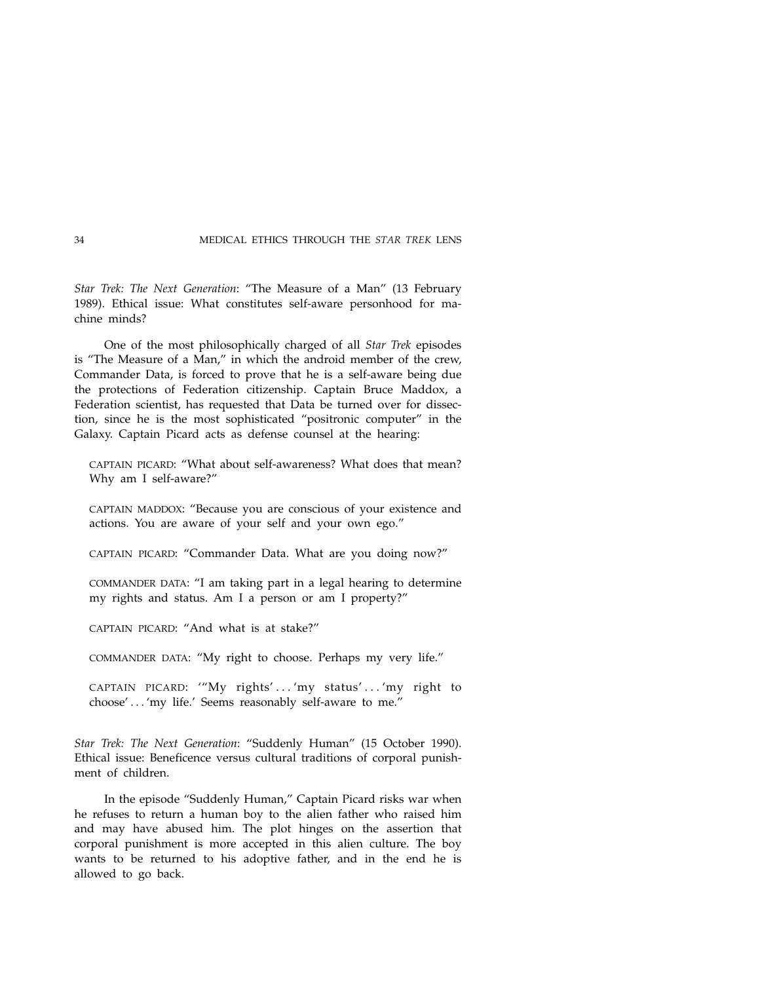*Star Trek: The Next Generation*: "The Measure of a Man" (13 February 1989). Ethical issue: What constitutes self-aware personhood for machine minds?

One of the most philosophically charged of all *Star Trek* episodes is "The Measure of a Man," in which the android member of the crew, Commander Data, is forced to prove that he is a self-aware being due the protections of Federation citizenship. Captain Bruce Maddox, a Federation scientist, has requested that Data be turned over for dissection, since he is the most sophisticated "positronic computer" in the Galaxy. Captain Picard acts as defense counsel at the hearing:

CAPTAIN PICARD: "What about self-awareness? What does that mean? Why am I self-aware?"

CAPTAIN MADDOX: "Because you are conscious of your existence and actions. You are aware of your self and your own ego."

CAPTAIN PICARD: "Commander Data. What are you doing now?"

COMMANDER DATA: "I am taking part in a legal hearing to determine my rights and status. Am I a person or am I property?"

CAPTAIN PICARD: "And what is at stake?"

COMMANDER DATA: "My right to choose. Perhaps my very life."

CAPTAIN PICARD: '"My rights' ... 'my status' ... 'my right to choose' ... 'my life.' Seems reasonably self-aware to me."

*Star Trek: The Next Generation*: "Suddenly Human" (15 October 1990). Ethical issue: Beneficence versus cultural traditions of corporal punishment of children.

In the episode "Suddenly Human," Captain Picard risks war when he refuses to return a human boy to the alien father who raised him and may have abused him. The plot hinges on the assertion that corporal punishment is more accepted in this alien culture. The boy wants to be returned to his adoptive father, and in the end he is allowed to go back.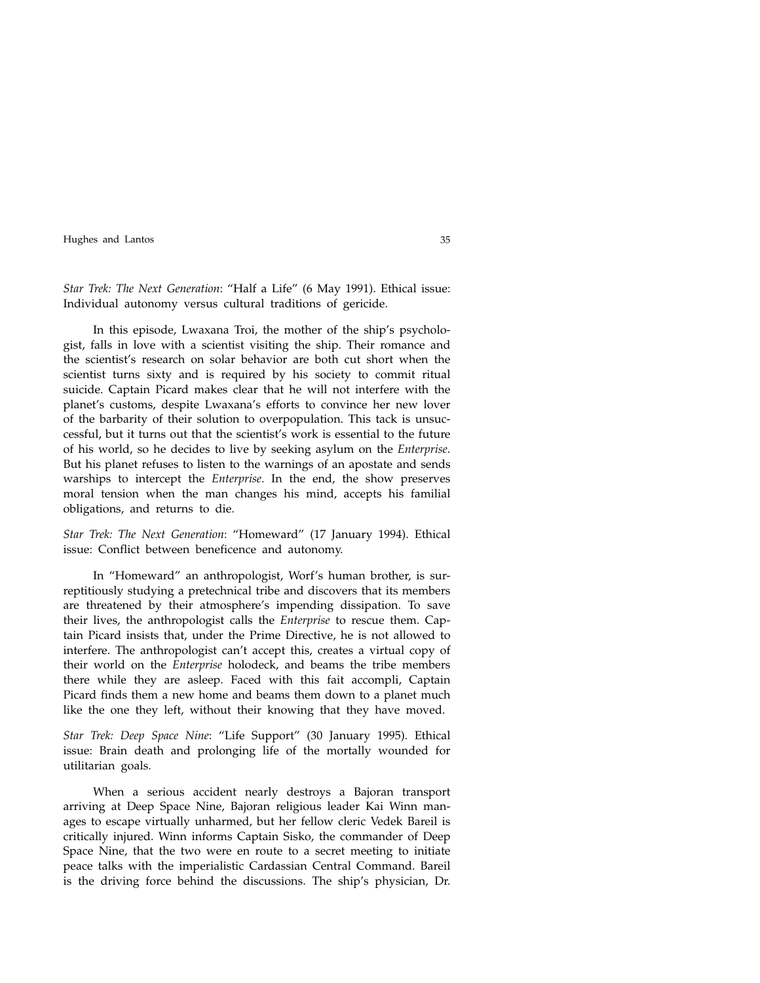*Star Trek: The Next Generation*: "Half a Life" (6 May 1991). Ethical issue: Individual autonomy versus cultural traditions of gericide.

In this episode, Lwaxana Troi, the mother of the ship's psychologist, falls in love with a scientist visiting the ship. Their romance and the scientist's research on solar behavior are both cut short when the scientist turns sixty and is required by his society to commit ritual suicide. Captain Picard makes clear that he will not interfere with the planet's customs, despite Lwaxana's efforts to convince her new lover of the barbarity of their solution to overpopulation. This tack is unsuccessful, but it turns out that the scientist's work is essential to the future of his world, so he decides to live by seeking asylum on the *Enterprise*. But his planet refuses to listen to the warnings of an apostate and sends warships to intercept the *Enterprise*. In the end, the show preserves moral tension when the man changes his mind, accepts his familial obligations, and returns to die.

*Star Trek: The Next Generation*: "Homeward" (17 January 1994). Ethical issue: Conflict between beneficence and autonomy.

In "Homeward" an anthropologist, Worf's human brother, is surreptitiously studying a pretechnical tribe and discovers that its members are threatened by their atmosphere's impending dissipation. To save their lives, the anthropologist calls the *Enterprise* to rescue them. Captain Picard insists that, under the Prime Directive, he is not allowed to interfere. The anthropologist can't accept this, creates a virtual copy of their world on the *Enterprise* holodeck, and beams the tribe members there while they are asleep. Faced with this fait accompli, Captain Picard finds them a new home and beams them down to a planet much like the one they left, without their knowing that they have moved.

*Star Trek: Deep Space Nine*: "Life Support" (30 January 1995). Ethical issue: Brain death and prolonging life of the mortally wounded for utilitarian goals.

When a serious accident nearly destroys a Bajoran transport arriving at Deep Space Nine, Bajoran religious leader Kai Winn manages to escape virtually unharmed, but her fellow cleric Vedek Bareil is critically injured. Winn informs Captain Sisko, the commander of Deep Space Nine, that the two were en route to a secret meeting to initiate peace talks with the imperialistic Cardassian Central Command. Bareil is the driving force behind the discussions. The ship's physician, Dr.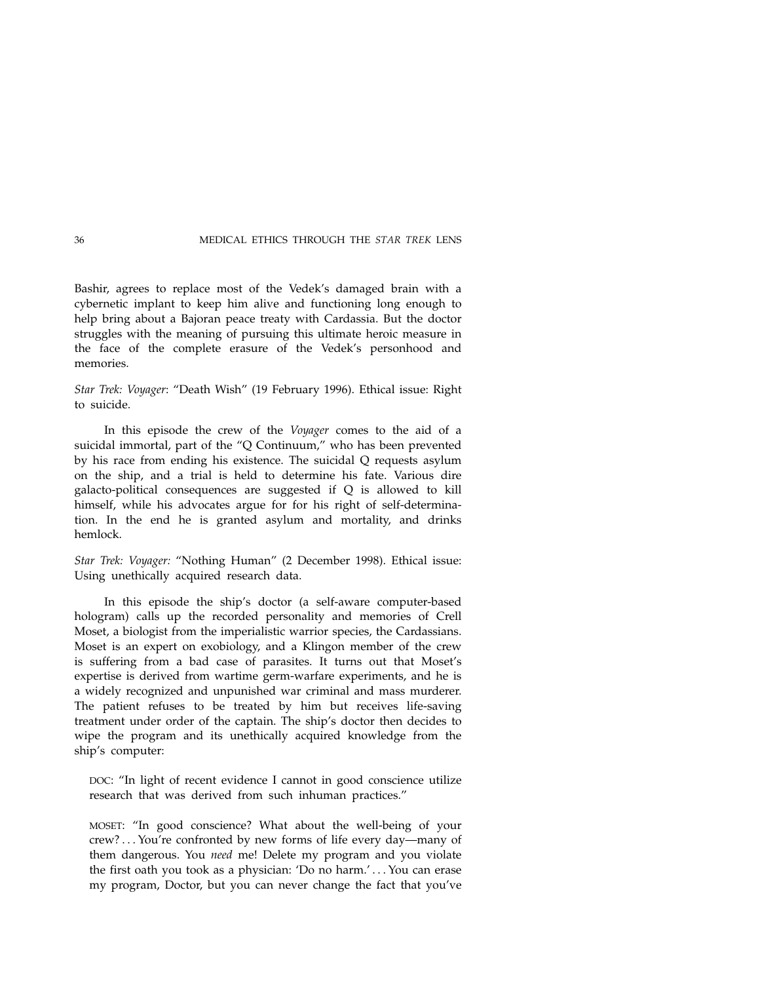Bashir, agrees to replace most of the Vedek's damaged brain with a cybernetic implant to keep him alive and functioning long enough to help bring about a Bajoran peace treaty with Cardassia. But the doctor struggles with the meaning of pursuing this ultimate heroic measure in the face of the complete erasure of the Vedek's personhood and memories.

*Star Trek: Voyager*: "Death Wish" (19 February 1996). Ethical issue: Right to suicide.

In this episode the crew of the *Voyager* comes to the aid of a suicidal immortal, part of the "Q Continuum," who has been prevented by his race from ending his existence. The suicidal Q requests asylum on the ship, and a trial is held to determine his fate. Various dire galacto-political consequences are suggested if Q is allowed to kill himself, while his advocates argue for for his right of self-determination. In the end he is granted asylum and mortality, and drinks hemlock.

*Star Trek: Voyager:* "Nothing Human" (2 December 1998). Ethical issue: Using unethically acquired research data.

In this episode the ship's doctor (a self-aware computer-based hologram) calls up the recorded personality and memories of Crell Moset, a biologist from the imperialistic warrior species, the Cardassians. Moset is an expert on exobiology, and a Klingon member of the crew is suffering from a bad case of parasites. It turns out that Moset's expertise is derived from wartime germ-warfare experiments, and he is a widely recognized and unpunished war criminal and mass murderer. The patient refuses to be treated by him but receives life-saving treatment under order of the captain. The ship's doctor then decides to wipe the program and its unethically acquired knowledge from the ship's computer:

DOC: "In light of recent evidence I cannot in good conscience utilize research that was derived from such inhuman practices."

MOSET: "In good conscience? What about the well-being of your crew? . . . You're confronted by new forms of life every day—many of them dangerous. You *need* me! Delete my program and you violate the first oath you took as a physician: 'Do no harm.' . . . You can erase my program, Doctor, but you can never change the fact that you've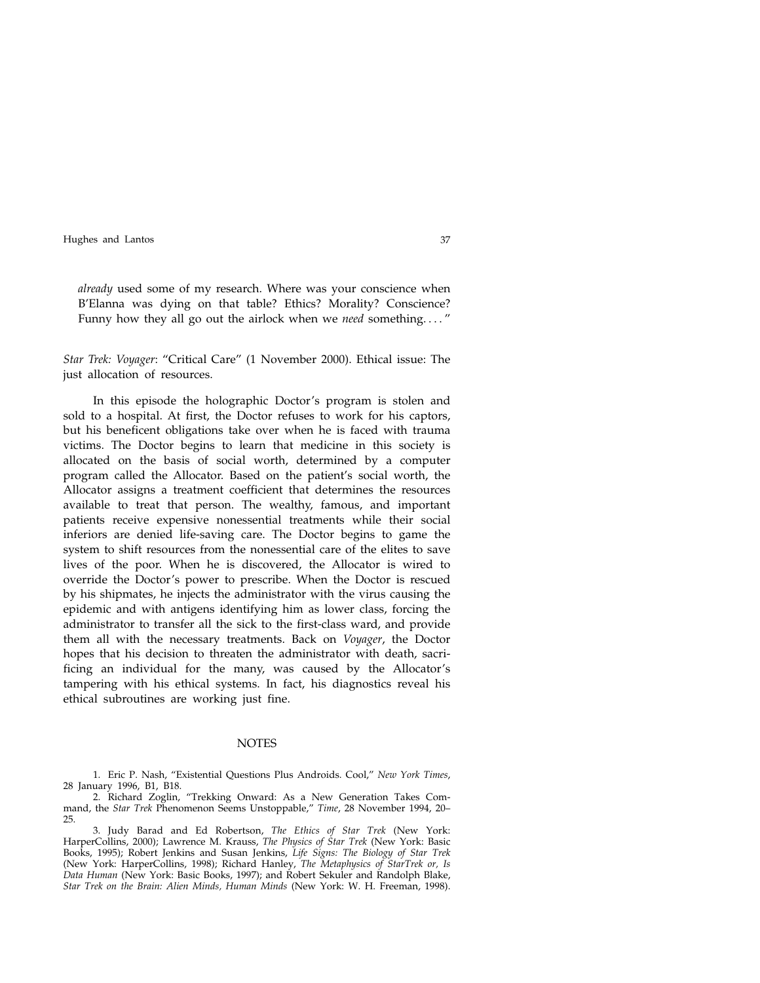*already* used some of my research. Where was your conscience when B'Elanna was dying on that table? Ethics? Morality? Conscience? Funny how they all go out the airlock when we *need* something.... "

*Star Trek: Voyager*: "Critical Care" (1 November 2000). Ethical issue: The just allocation of resources.

In this episode the holographic Doctor's program is stolen and sold to a hospital. At first, the Doctor refuses to work for his captors, but his beneficent obligations take over when he is faced with trauma victims. The Doctor begins to learn that medicine in this society is allocated on the basis of social worth, determined by a computer program called the Allocator. Based on the patient's social worth, the Allocator assigns a treatment coefficient that determines the resources available to treat that person. The wealthy, famous, and important patients receive expensive nonessential treatments while their social inferiors are denied life-saving care. The Doctor begins to game the system to shift resources from the nonessential care of the elites to save lives of the poor. When he is discovered, the Allocator is wired to override the Doctor's power to prescribe. When the Doctor is rescued by his shipmates, he injects the administrator with the virus causing the epidemic and with antigens identifying him as lower class, forcing the administrator to transfer all the sick to the first-class ward, and provide them all with the necessary treatments. Back on *Voyager*, the Doctor hopes that his decision to threaten the administrator with death, sacrificing an individual for the many, was caused by the Allocator's tampering with his ethical systems. In fact, his diagnostics reveal his ethical subroutines are working just fine.

### NOTES

1. Eric P. Nash, "Existential Questions Plus Androids. Cool," *New York Times*, 28 January 1996, B1, B18.

2. Richard Zoglin, "Trekking Onward: As a New Generation Takes Command, the *Star Trek* Phenomenon Seems Unstoppable," *Time*, 28 November 1994, 20– 25.

3. Judy Barad and Ed Robertson, *The Ethics of Star Trek* (New York: HarperCollins, 2000); Lawrence M. Krauss, *The Physics of Star Trek* (New York: Basic Books, 1995); Robert Jenkins and Susan Jenkins, *Life Signs: The Biology of Star Trek* (New York: HarperCollins, 1998); Richard Hanley, *The Metaphysics of StarTrek or, Is Data Human* (New York: Basic Books, 1997); and Robert Sekuler and Randolph Blake, *Star Trek on the Brain: Alien Minds, Human Minds* (New York: W. H. Freeman, 1998).